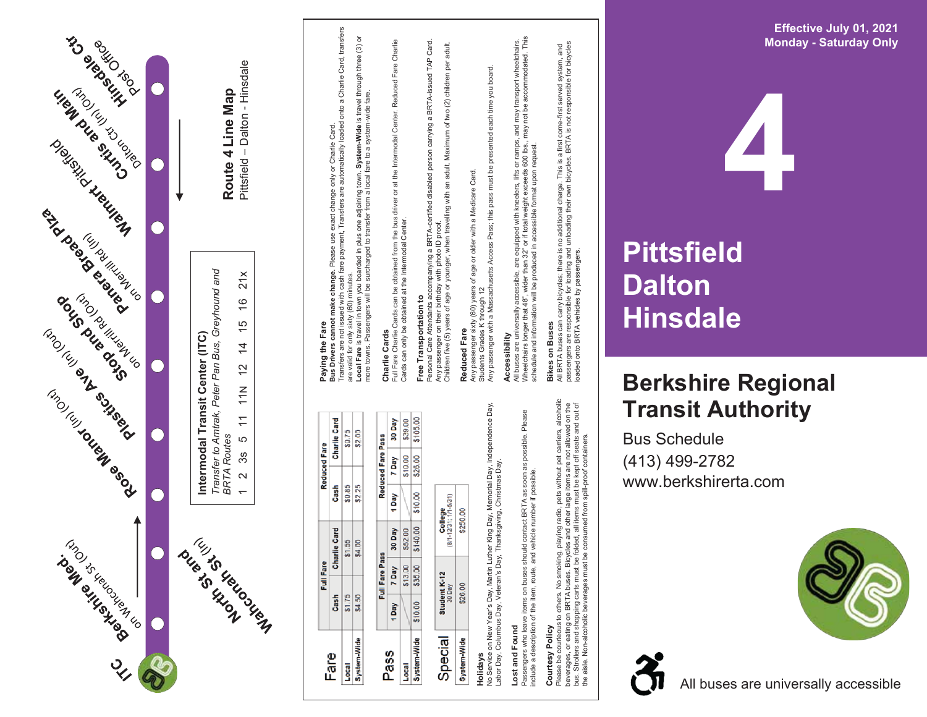

## **4 Pittsfield Dalton Hinsdale**

## **Berkshire Regiona l T ransit Au t hority**

Bu s S c hedule (413) 4 9 9 -2782 www.berkshirerta.com



A l l b u s e s are u nivers a l ly acc essible